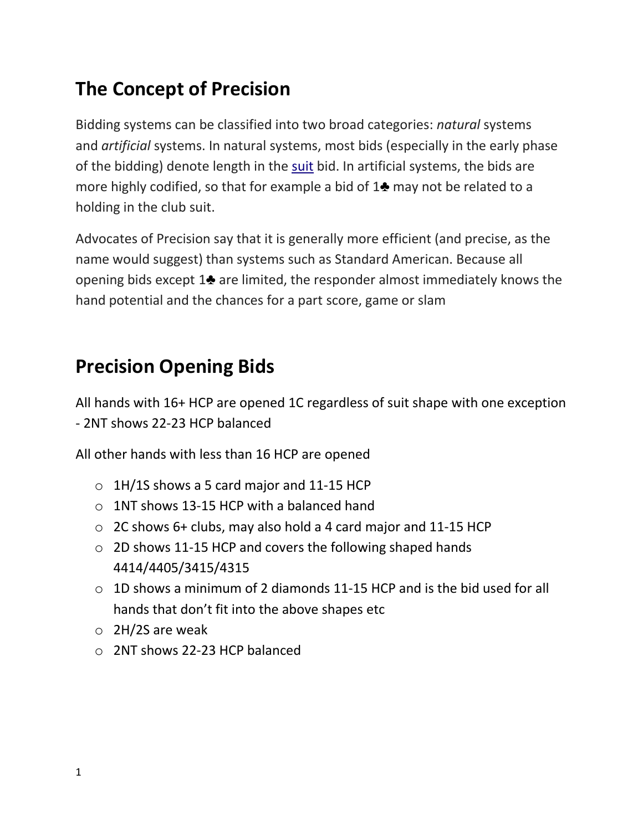### **The Concept of Precision**

Bidding systems can be classified into two broad categories: *natural* systems and *artificial* systems. In natural systems, most bids (especially in the early phase of the bidding) denote length in the [suit](https://en.wikipedia.org/wiki/Suit_(cards)) bid. In artificial systems, the bids are more highly codified, so that for example a bid of 1♣ may not be related to a holding in the club suit.

Advocates of Precision say that it is generally more efficient (and precise, as the name would suggest) than systems such as Standard American. Because all opening bids except 1♣ are limited, the responder almost immediately knows the hand potential and the chances for a part score, game or slam

### **Precision Opening Bids**

All hands with 16+ HCP are opened 1C regardless of suit shape with one exception - 2NT shows 22-23 HCP balanced

All other hands with less than 16 HCP are opened

- $\circ$  1H/1S shows a 5 card major and 11-15 HCP
- $\circ$  1NT shows 13-15 HCP with a balanced hand
- $\circ$  2C shows 6+ clubs, may also hold a 4 card major and 11-15 HCP
- o 2D shows 11-15 HCP and covers the following shaped hands 4414/4405/3415/4315
- o 1D shows a minimum of 2 diamonds 11-15 HCP and is the bid used for all hands that don't fit into the above shapes etc
- o 2H/2S are weak
- o 2NT shows 22-23 HCP balanced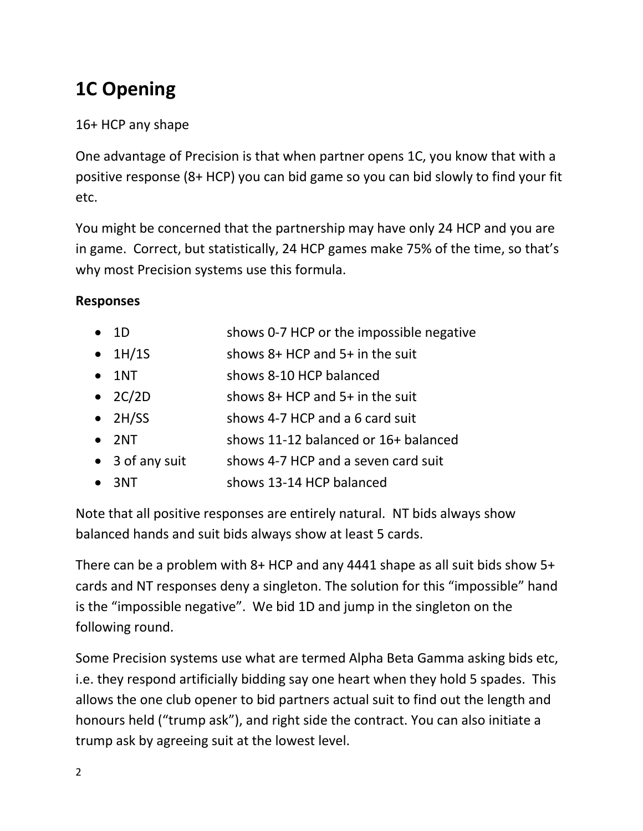# **1C Opening**

### 16+ HCP any shape

One advantage of Precision is that when partner opens 1C, you know that with a positive response (8+ HCP) you can bid game so you can bid slowly to find your fit etc.

You might be concerned that the partnership may have only 24 HCP and you are in game. Correct, but statistically, 24 HCP games make 75% of the time, so that's why most Precision systems use this formula.

### **Responses**

| $\bullet$ 1D    | shows 0-7 HCP or the impossible negative |
|-----------------|------------------------------------------|
| $\bullet$ 1H/1S | shows $8+$ HCP and $5+$ in the suit      |
| $\bullet$ 1NT   | shows 8-10 HCP balanced                  |
| $\bullet$ 2C/2D | shows $8+$ HCP and $5+$ in the suit      |
| $\bullet$ 2H/SS | shows 4-7 HCP and a 6 card suit          |
| $\bullet$ 2NT   | shows 11-12 balanced or 16+ balanced     |
| • 3 of any suit | shows 4-7 HCP and a seven card suit      |
| $\bullet$ 3NT   | shows 13-14 HCP balanced                 |

Note that all positive responses are entirely natural. NT bids always show balanced hands and suit bids always show at least 5 cards.

There can be a problem with 8+ HCP and any 4441 shape as all suit bids show 5+ cards and NT responses deny a singleton. The solution for this "impossible" hand is the "impossible negative". We bid 1D and jump in the singleton on the following round.

Some Precision systems use what are termed Alpha Beta Gamma asking bids etc, i.e. they respond artificially bidding say one heart when they hold 5 spades. This allows the one club opener to bid partners actual suit to find out the length and honours held ("trump ask"), and right side the contract. You can also initiate a trump ask by agreeing suit at the lowest level.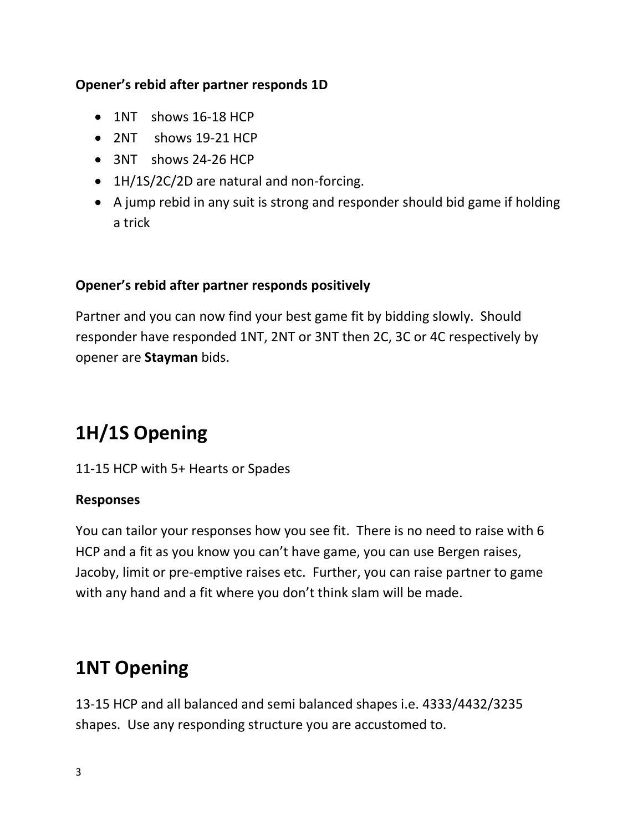#### **Opener's rebid after partner responds 1D**

- 1NT shows 16-18 HCP
- 2NT shows 19-21 HCP
- 3NT shows 24-26 HCP
- 1H/1S/2C/2D are natural and non-forcing.
- A jump rebid in any suit is strong and responder should bid game if holding a trick

### **Opener's rebid after partner responds positively**

Partner and you can now find your best game fit by bidding slowly. Should responder have responded 1NT, 2NT or 3NT then 2C, 3C or 4C respectively by opener are **Stayman** bids.

### **1H/1S Opening**

11-15 HCP with 5+ Hearts or Spades

#### **Responses**

You can tailor your responses how you see fit. There is no need to raise with 6 HCP and a fit as you know you can't have game, you can use Bergen raises, Jacoby, limit or pre-emptive raises etc. Further, you can raise partner to game with any hand and a fit where you don't think slam will be made.

### **1NT Opening**

13-15 HCP and all balanced and semi balanced shapes i.e. 4333/4432/3235 shapes. Use any responding structure you are accustomed to.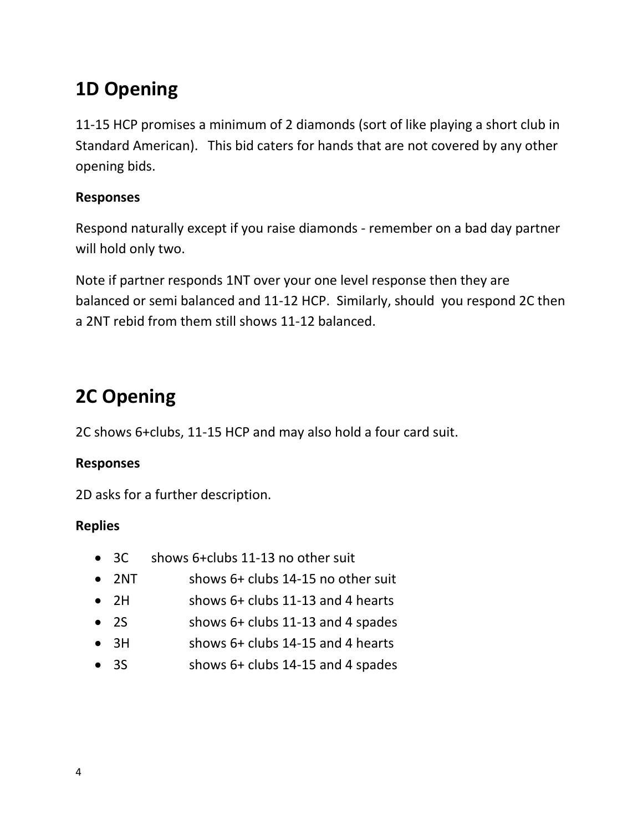## **1D Opening**

11-15 HCP promises a minimum of 2 diamonds (sort of like playing a short club in Standard American). This bid caters for hands that are not covered by any other opening bids.

#### **Responses**

Respond naturally except if you raise diamonds - remember on a bad day partner will hold only two.

Note if partner responds 1NT over your one level response then they are balanced or semi balanced and 11-12 HCP. Similarly, should you respond 2C then a 2NT rebid from them still shows 11-12 balanced.

### **2C Opening**

2C shows 6+clubs, 11-15 HCP and may also hold a four card suit.

### **Responses**

2D asks for a further description.

### **Replies**

- 3C shows 6+clubs 11-13 no other suit
- 2NT shows 6+ clubs 14-15 no other suit
- 2H shows 6+ clubs 11-13 and 4 hearts
- 2S shows 6+ clubs 11-13 and 4 spades
- 3H shows 6+ clubs 14-15 and 4 hearts
- 3S shows 6+ clubs 14-15 and 4 spades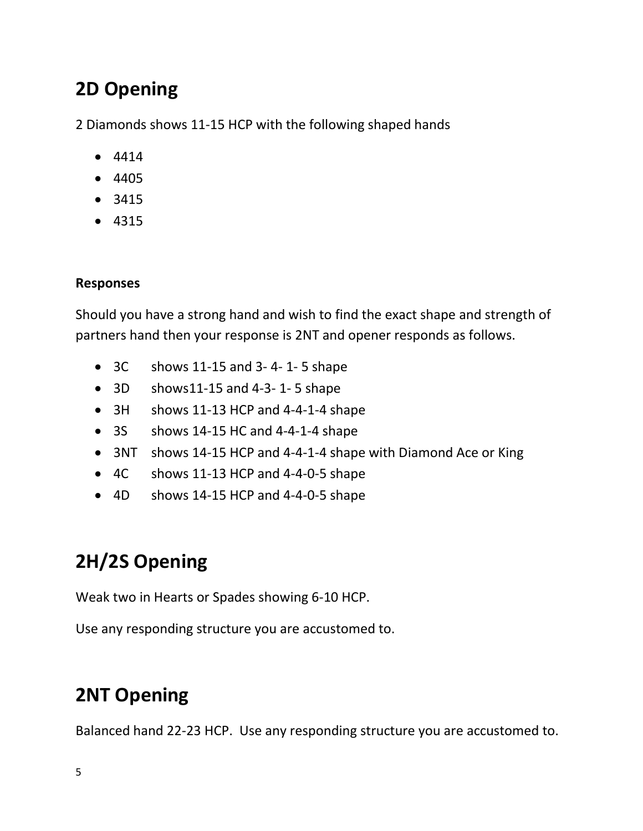## **2D Opening**

2 Diamonds shows 11-15 HCP with the following shaped hands

- 4414
- 4405
- 3415
- 4315

### **Responses**

Should you have a strong hand and wish to find the exact shape and strength of partners hand then your response is 2NT and opener responds as follows.

- $\bullet$  3C shows 11-15 and 3-4-1-5 shape
- $\bullet$  3D shows11-15 and 4-3-1-5 shape
- 3H shows 11-13 HCP and 4-4-1-4 shape
- 3S shows 14-15 HC and 4-4-1-4 shape
- 3NT shows 14-15 HCP and 4-4-1-4 shape with Diamond Ace or King
- 4C shows 11-13 HCP and 4-4-0-5 shape
- 4D shows 14-15 HCP and 4-4-0-5 shape

# **2H/2S Opening**

Weak two in Hearts or Spades showing 6-10 HCP.

Use any responding structure you are accustomed to.

# **2NT Opening**

Balanced hand 22-23 HCP. Use any responding structure you are accustomed to.